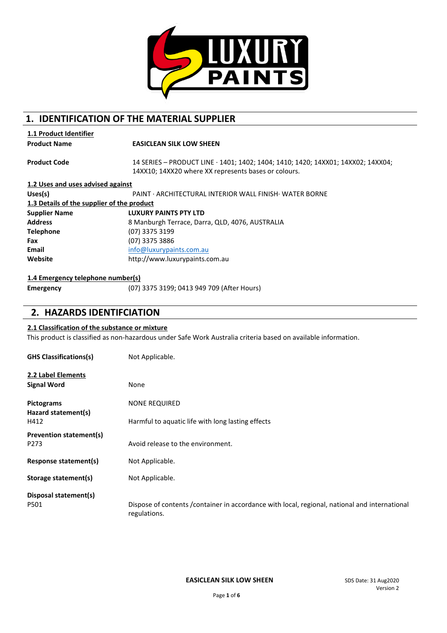

# **1. IDENTIFICATION OF THE MATERIAL SUPPLIER**

|  | <b>1.1 Product Identifier</b> |
|--|-------------------------------|
|  |                               |

**Product Name EASICLEAN SILK LOW SHEEN** 

**Product Code** 14 SERIES – PRODUCT LINE · 1401; 1402; 1404; 1410; 1420; 14XX01; 14XX02; 14XX04; 14XX10; 14XX20 where XX represents bases or colours.

| 1.2 Uses and uses advised against          |                                                                 |
|--------------------------------------------|-----------------------------------------------------------------|
| Uses(s)                                    | <b>PAINT · ARCHITECTURAL INTERIOR WALL FINISH · WATER BORNE</b> |
| 1.3 Details of the supplier of the product |                                                                 |
| <b>Supplier Name</b>                       | <b>LUXURY PAINTS PTY LTD</b>                                    |
| <b>Address</b>                             | 8 Manburgh Terrace, Darra, QLD, 4076, AUSTRALIA                 |
| <b>Telephone</b>                           | (07) 3375 3199                                                  |
| Fax                                        | (07) 3375 3886                                                  |
| Email                                      | info@luxurypaints.com.au                                        |
| Website                                    | http://www.luxurypaints.com.au                                  |

### **1.4 Emergency telephone number(s)**

**Emergency** (07) 3375 3199; 0413 949 709 (After Hours)

## **2. HAZARDS IDENTIFCIATION**

#### **2.1 Classification of the substance or mixture**

This product is classified as non-hazardous under Safe Work Australia criteria based on available information.

| <b>GHS Classifications(s)</b>            | Not Applicable.                                                                                                |
|------------------------------------------|----------------------------------------------------------------------------------------------------------------|
| 2.2 Label Elements                       |                                                                                                                |
| <b>Signal Word</b>                       | None                                                                                                           |
| <b>Pictograms</b><br>Hazard statement(s) | <b>NONE REQUIRED</b>                                                                                           |
| H412                                     | Harmful to aquatic life with long lasting effects                                                              |
| Prevention statement(s)<br>P273          | Avoid release to the environment.                                                                              |
| Response statement(s)                    | Not Applicable.                                                                                                |
| Storage statement(s)                     | Not Applicable.                                                                                                |
| Disposal statement(s)                    |                                                                                                                |
| P501                                     | Dispose of contents / container in accordance with local, regional, national and international<br>regulations. |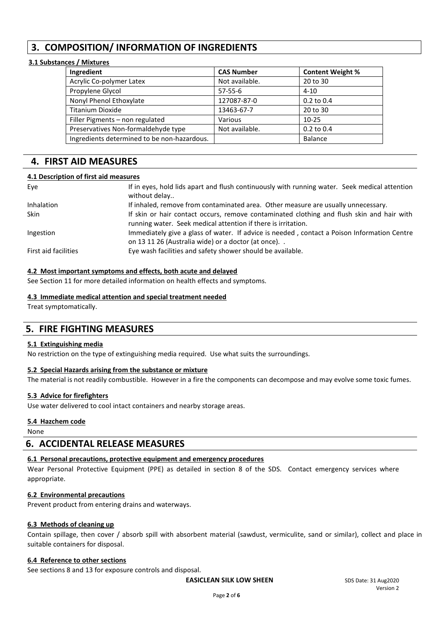# **3. COMPOSITION/ INFORMATION OF INGREDIENTS**

## **3.1 Substances / Mixtures**

| Ingredient                                  | <b>CAS Number</b> | <b>Content Weight %</b> |
|---------------------------------------------|-------------------|-------------------------|
| Acrylic Co-polymer Latex                    | Not available.    | 20 to 30                |
| Propylene Glycol                            | $57 - 55 - 6$     | $4 - 10$                |
| Nonyl Phenol Ethoxylate                     | 127087-87-0       | $0.2$ to $0.4$          |
| <b>Titanium Dioxide</b>                     | 13463-67-7        | 20 to 30                |
| Filler Pigments - non regulated             | Various           | $10-25$                 |
| Preservatives Non-formaldehyde type         | Not available.    | $0.2$ to $0.4$          |
| Ingredients determined to be non-hazardous. |                   | Balance                 |

# **4. FIRST AID MEASURES**

### **4.1 Description of first aid measures**

| Eve                  | If in eyes, hold lids apart and flush continuously with running water. Seek medical attention<br>without delay                                             |
|----------------------|------------------------------------------------------------------------------------------------------------------------------------------------------------|
| Inhalation           | If inhaled, remove from contaminated area. Other measure are usually unnecessary.                                                                          |
| <b>Skin</b>          | If skin or hair contact occurs, remove contaminated clothing and flush skin and hair with<br>running water. Seek medical attention if there is irritation. |
| Ingestion            | Immediately give a glass of water. If advice is needed, contact a Poison Information Centre<br>on 13 11 26 (Australia wide) or a doctor (at once)          |
| First aid facilities | Eye wash facilities and safety shower should be available.                                                                                                 |

### **4.2 Most important symptoms and effects, both acute and delayed**

See Section 11 for more detailed information on health effects and symptoms.

#### **4.3 Immediate medical attention and special treatment needed**

Treat symptomatically.

## **5. FIRE FIGHTING MEASURES**

### **5.1 Extinguishing media**

No restriction on the type of extinguishing media required. Use what suits the surroundings.

#### **5.2 Special Hazards arising from the substance or mixture**

The material is not readily combustible. However in a fire the components can decompose and may evolve some toxic fumes.

#### **5.3 Advice for firefighters**

Use water delivered to cool intact containers and nearby storage areas.

#### **5.4 Hazchem code**

None

## **6. ACCIDENTAL RELEASE MEASURES**

#### **6.1 Personal precautions, protective equipment and emergency procedures**

Wear Personal Protective Equipment (PPE) as detailed in section 8 of the SDS. Contact emergency services where appropriate.

#### **6.2 Environmental precautions**

Prevent product from entering drains and waterways.

#### **6.3 Methods of cleaning up**

Contain spillage, then cover / absorb spill with absorbent material (sawdust, vermiculite, sand or similar), collect and place in suitable containers for disposal.

#### **6.4 Reference to other sections**

See sections 8 and 13 for exposure controls and disposal.

**EASICLEAN SILK LOW SHEEN** SDS Date: 31 Aug2020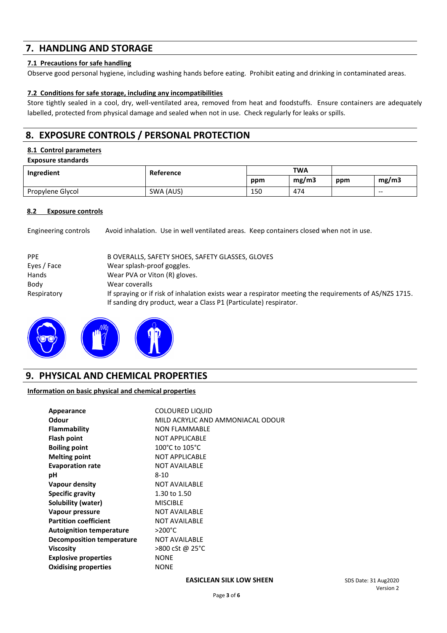# **7. HANDLING AND STORAGE**

### **7.1 Precautions for safe handling**

Observe good personal hygiene, including washing hands before eating. Prohibit eating and drinking in contaminated areas.

### **7.2 Conditions for safe storage, including any incompatibilities**

Store tightly sealed in a cool, dry, well-ventilated area, removed from heat and foodstuffs. Ensure containers are adequately labelled, protected from physical damage and sealed when not in use. Check regularly for leaks or spills.

# **8. EXPOSURE CONTROLS / PERSONAL PROTECTION**

### **8.1 Control parameters**

|  | <b>Exposure standards</b> |
|--|---------------------------|
|--|---------------------------|

| Ingredient       | <b>Reference</b> | <b>TWA</b> |       |     |       |
|------------------|------------------|------------|-------|-----|-------|
|                  |                  | ppm        | mg/m3 | ppm | mg/m3 |
| Propylene Glycol | SWA (AUS)        | 150        | 474   |     | $- -$ |

#### **8.2 Exposure controls**

Engineering controls Avoid inhalation. Use in well ventilated areas. Keep containers closed when not in use.

| <b>PPE</b>  | B OVERALLS, SAFETY SHOES, SAFETY GLASSES, GLOVES                                                                                                                            |
|-------------|-----------------------------------------------------------------------------------------------------------------------------------------------------------------------------|
| Eyes / Face | Wear splash-proof goggles.                                                                                                                                                  |
| Hands       | Wear PVA or Viton (R) gloves.                                                                                                                                               |
| Body        | Wear coveralls                                                                                                                                                              |
| Respiratory | If spraying or if risk of inhalation exists wear a respirator meeting the requirements of AS/NZS 1715.<br>If sanding dry product, wear a Class P1 (Particulate) respirator. |



## **9. PHYSICAL AND CHEMICAL PROPERTIES**

#### **Information on basic physical and chemical properties**

| Appearance                       | <b>COLOURED LIQUID</b>            |
|----------------------------------|-----------------------------------|
| Odour                            | MILD ACRYLIC AND AMMONIACAL ODOUR |
| Flammability                     | <b>NON FLAMMABLE</b>              |
| Flash point                      | <b>NOT APPLICABLE</b>             |
| <b>Boiling point</b>             | 100°C to 105°C                    |
| <b>Melting point</b>             | <b>NOT APPLICABLE</b>             |
| <b>Evaporation rate</b>          | <b>NOT AVAILABLE</b>              |
| рH                               | $8 - 10$                          |
| Vapour density                   | <b>NOT AVAILABLE</b>              |
| <b>Specific gravity</b>          | 1.30 to 1.50                      |
| Solubility (water)               | <b>MISCIBLE</b>                   |
| Vapour pressure                  | <b>NOT AVAILABLE</b>              |
| <b>Partition coefficient</b>     | <b>NOT AVAILABLE</b>              |
| <b>Autoignition temperature</b>  | $>200^{\circ}$ C                  |
| <b>Decomposition temperature</b> | <b>NOT AVAILABLE</b>              |
| Viscosity                        | >800 cSt @ 25°C                   |
| <b>Explosive properties</b>      | <b>NONE</b>                       |
| <b>Oxidising properties</b>      | <b>NONE</b>                       |

#### **EASICLEAN SILK LOW SHEEN** SDS Date: 31 Aug2020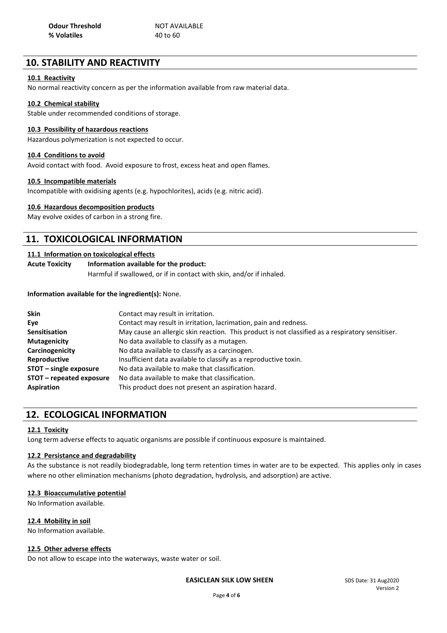# **10. STABILITY AND REACTIVITY**

### **10.1 Reactivity**

No normal reactivity concern as per the information available from raw material data.

#### **10.2 Chemical stability**

Stable under recommended conditions of storage.

## **10.3 Possibility of hazardous reactions**

Hazardous polymerization is not expected to occur.

#### **10.4 Conditions to avoid**

Avoid contact with food. Avoid exposure to frost, excess heat and open flames.

#### **10.5 Incompatible materials**

Incompatible with oxidising agents (e.g. hypochlorites), acids (e.g. nitric acid).

#### **10.6 Hazardous decomposition products**

May evolve oxides of carbon in a strong fire.

## **11. TOXICOLOGICAL INFORMATION**

#### **11.1 Information on toxicological effects**

### **Acute Toxicity Information available for the product:** Harmful if swallowed, or if in contact with skin, and/or if inhaled.

#### **Information available for the ingredient(s):** None.

| <b>Skin</b>              | Contact may result in irritation.                                                                |  |  |
|--------------------------|--------------------------------------------------------------------------------------------------|--|--|
| Eye                      | Contact may result in irritation, lacrimation, pain and redness.                                 |  |  |
| <b>Sensitisation</b>     | May cause an allergic skin reaction. This product is not classified as a respiratory sensitiser. |  |  |
| <b>Mutagenicity</b>      | No data available to classify as a mutagen.                                                      |  |  |
| Carcinogenicity          | No data available to classify as a carcinogen.                                                   |  |  |
| Reproductive             | Insufficient data available to classify as a reproductive toxin.                                 |  |  |
| STOT - single exposure   | No data available to make that classification.                                                   |  |  |
| STOT - repeated exposure | No data available to make that classification.                                                   |  |  |
| <b>Aspiration</b>        | This product does not present an aspiration hazard.                                              |  |  |

## **12. ECOLOGICAL INFORMATION**

#### **12.1 Toxicity**

Long term adverse effects to aquatic organisms are possible if continuous exposure is maintained.

#### **12.2 Persistance and degradability**

As the substance is not readily biodegradable, long term retention times in water are to be expected. This applies only in cases where no other elimination mechanisms (photo degradation, hydrolysis, and adsorption) are active.

#### **12.3 Bioaccumulative potential**

No Information available.

#### **12.4 Mobility in soil**

No Information available.

### **12.5 Other adverse effects**

Do not allow to escape into the waterways, waste water or soil.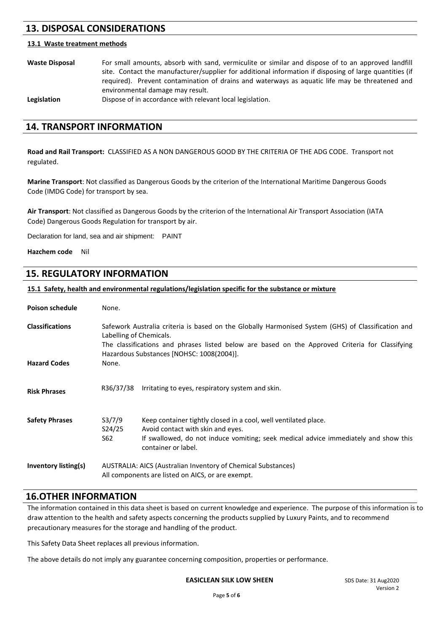# **13. DISPOSAL CONSIDERATIONS**

#### **13.1 Waste treatment methods**

**Waste Disposal** For small amounts, absorb with sand, vermiculite or similar and dispose of to an approved landfill site. Contact the manufacturer/supplier for additional information if disposing of large quantities (if required). Prevent contamination of drains and waterways as aquatic life may be threatened and environmental damage may result.

Legislation **Dispose of in accordance with relevant local legislation.** 

## **14. TRANSPORT INFORMATION**

**Road and Rail Transport:** CLASSIFIED AS A NON DANGEROUS GOOD BY THE CRITERIA OF THE ADG CODE. Transport not regulated.

**Marine Transport**: Not classified as Dangerous Goods by the criterion of the International Maritime Dangerous Goods Code (IMDG Code) for transport by sea.

**Air Transport**: Not classified as Dangerous Goods by the criterion of the International Air Transport Association (IATA Code) Dangerous Goods Regulation for transport by air.

Declaration for land, sea and air shipment: PAINT

**Hazchem code** Nil

## **15. REGULATORY INFORMATION**

**15.1 Safety, health and environmental regulations/legislation specific for the substance or mixture**

| <b>Poison schedule</b> | None.                                                                                                                                                                                                                                                                         |                                                                                                                                                                                                                    |
|------------------------|-------------------------------------------------------------------------------------------------------------------------------------------------------------------------------------------------------------------------------------------------------------------------------|--------------------------------------------------------------------------------------------------------------------------------------------------------------------------------------------------------------------|
| <b>Classifications</b> | Safework Australia criteria is based on the Globally Harmonised System (GHS) of Classification and<br>Labelling of Chemicals.<br>The classifications and phrases listed below are based on the Approved Criteria for Classifying<br>Hazardous Substances [NOHSC: 1008(2004)]. |                                                                                                                                                                                                                    |
| <b>Hazard Codes</b>    | None.                                                                                                                                                                                                                                                                         |                                                                                                                                                                                                                    |
| <b>Risk Phrases</b>    | R36/37/38                                                                                                                                                                                                                                                                     | Irritating to eyes, respiratory system and skin.                                                                                                                                                                   |
| <b>Safety Phrases</b>  | S3/7/9<br>S24/25<br>S62                                                                                                                                                                                                                                                       | Keep container tightly closed in a cool, well ventilated place.<br>Avoid contact with skin and eyes.<br>If swallowed, do not induce vomiting; seek medical advice immediately and show this<br>container or label. |
| Inventory listing(s)   | AUSTRALIA: AICS (Australian Inventory of Chemical Substances)<br>All components are listed on AICS, or are exempt.                                                                                                                                                            |                                                                                                                                                                                                                    |

## **16.OTHER INFORMATION**

The information contained in this data sheet is based on current knowledge and experience. The purpose of this information is to draw attention to the health and safety aspects concerning the products supplied by Luxury Paints, and to recommend precautionary measures for the storage and handling of the product.

This Safety Data Sheet replaces all previous information.

The above details do not imply any guarantee concerning composition, properties or performance.

#### **EASICLEAN SILK LOW SHEEN** SDS Date: 31 Aug2020